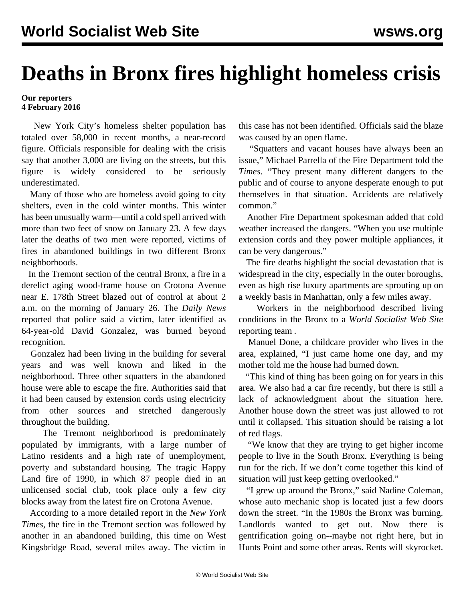## **Deaths in Bronx fires highlight homeless crisis**

## **Our reporters 4 February 2016**

 New York City's homeless shelter population has totaled over 58,000 in recent months, a near-record figure. Officials responsible for dealing with the crisis say that another 3,000 are living on the streets, but this figure is widely considered to be seriously underestimated.

 Many of those who are homeless avoid going to city shelters, even in the cold winter months. This winter has been unusually warm—until a cold spell arrived with more than two feet of snow on January 23. A few days later the deaths of two men were reported, victims of fires in abandoned buildings in two different Bronx neighborhoods.

 In the Tremont section of the central Bronx, a fire in a derelict aging wood-frame house on Crotona Avenue near E. 178th Street blazed out of control at about 2 a.m. on the morning of January 26. The *Daily News* reported that police said a victim, later identified as 64-year-old David Gonzalez, was burned beyond recognition.

 Gonzalez had been living in the building for several years and was well known and liked in the neighborhood. Three other squatters in the abandoned house were able to escape the fire. Authorities said that it had been caused by extension cords using electricity from other sources and stretched dangerously throughout the building.

 The Tremont neighborhood is predominately populated by immigrants, with a large number of Latino residents and a high rate of unemployment, poverty and substandard housing. The tragic Happy Land fire of 1990, in which 87 people died in an unlicensed social club, took place only a few city blocks away from the latest fire on Crotona Avenue.

 According to a more detailed report in the *New York Times*, the fire in the Tremont section was followed by another in an abandoned building, this time on West Kingsbridge Road, several miles away. The victim in

this case has not been identified. Officials said the blaze was caused by an open flame.

 "Squatters and vacant houses have always been an issue," Michael Parrella of the Fire Department told the *Times*. "They present many different dangers to the public and of course to anyone desperate enough to put themselves in that situation. Accidents are relatively common."

 Another Fire Department spokesman added that cold weather increased the dangers. "When you use multiple extension cords and they power multiple appliances, it can be very dangerous."

 The fire deaths highlight the social devastation that is widespread in the city, especially in the outer boroughs, even as high rise luxury apartments are sprouting up on a weekly basis in Manhattan, only a few miles away.

 Workers in the neighborhood described living conditions in the Bronx to a *World Socialist Web Site* reporting team *.*

 Manuel Done, a childcare provider who lives in the area, explained, "I just came home one day, and my mother told me the house had burned down.

 "This kind of thing has been going on for years in this area. We also had a car fire recently, but there is still a lack of acknowledgment about the situation here. Another house down the street was just allowed to rot until it collapsed. This situation should be raising a lot of red flags.

 "We know that they are trying to get higher income people to live in the South Bronx. Everything is being run for the rich. If we don't come together this kind of situation will just keep getting overlooked."

 "I grew up around the Bronx," said Nadine Coleman, whose auto mechanic shop is located just a few doors down the street. "In the 1980s the Bronx was burning. Landlords wanted to get out. Now there is gentrification going on--maybe not right here, but in Hunts Point and some other areas. Rents will skyrocket.